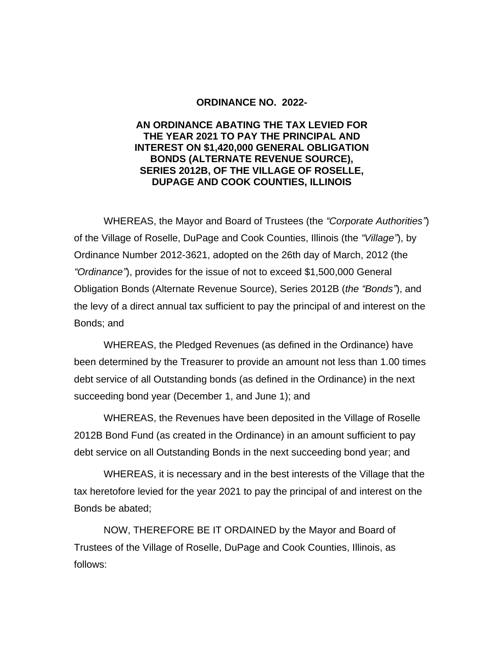## **ORDINANCE NO. 2022-**

## **AN ORDINANCE ABATING THE TAX LEVIED FOR THE YEAR 2021 TO PAY THE PRINCIPAL AND INTEREST ON \$1,420,000 GENERAL OBLIGATION BONDS (ALTERNATE REVENUE SOURCE), SERIES 2012B, OF THE VILLAGE OF ROSELLE, DUPAGE AND COOK COUNTIES, ILLINOIS**

WHEREAS, the Mayor and Board of Trustees (the *"Corporate Authorities"*) of the Village of Roselle, DuPage and Cook Counties, Illinois (the *"Village"*), by Ordinance Number 2012-3621, adopted on the 26th day of March, 2012 (the *"Ordinance"*), provides for the issue of not to exceed \$1,500,000 General Obligation Bonds (Alternate Revenue Source), Series 2012B (*the "Bonds"*), and the levy of a direct annual tax sufficient to pay the principal of and interest on the Bonds; and

WHEREAS, the Pledged Revenues (as defined in the Ordinance) have been determined by the Treasurer to provide an amount not less than 1.00 times debt service of all Outstanding bonds (as defined in the Ordinance) in the next succeeding bond year (December 1, and June 1); and

WHEREAS, the Revenues have been deposited in the Village of Roselle 2012B Bond Fund (as created in the Ordinance) in an amount sufficient to pay debt service on all Outstanding Bonds in the next succeeding bond year; and

WHEREAS, it is necessary and in the best interests of the Village that the tax heretofore levied for the year 2021 to pay the principal of and interest on the Bonds be abated;

NOW, THEREFORE BE IT ORDAINED by the Mayor and Board of Trustees of the Village of Roselle, DuPage and Cook Counties, Illinois, as follows: